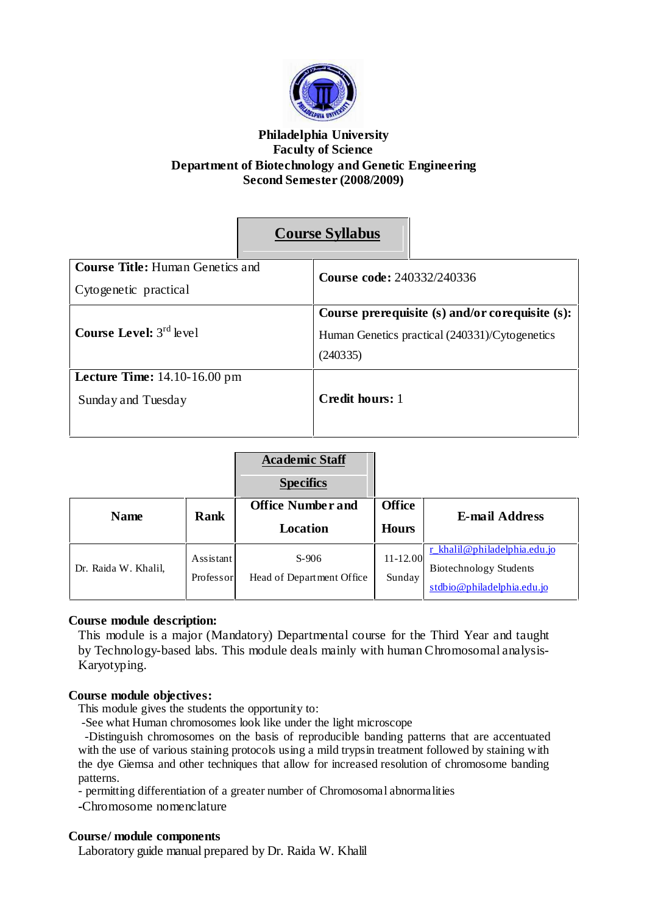

## **Philadelphia University Faculty of Science Department of Biotechnology and Genetic Engineering Second Semester (2008/2009)**

|                                                 |  | <b>Course Syllabus</b>                          |  |
|-------------------------------------------------|--|-------------------------------------------------|--|
| <b>Course Title: Human Genetics and</b>         |  | <b>Course code: 240332/240336</b>               |  |
| Cytogenetic practical                           |  |                                                 |  |
| <b>Course Level:</b> $3^{rd}$ level             |  | Course prerequisite (s) and/or corequisite (s): |  |
|                                                 |  | Human Genetics practical (240331)/Cytogenetics  |  |
|                                                 |  | (240335)                                        |  |
| <b>Lecture Time:</b> $14.10 - 16.00 \text{ pm}$ |  |                                                 |  |
| Sunday and Tuesday                              |  | Credit hours: 1                                 |  |
|                                                 |  |                                                 |  |

|                      |             | <b>Academic Staff</b><br><b>Specifics</b> |               |                               |
|----------------------|-------------|-------------------------------------------|---------------|-------------------------------|
| <b>Name</b>          | <b>Rank</b> | <b>Office Number and</b>                  | <b>Office</b> | <b>E-mail Address</b>         |
|                      |             | <b>Location</b>                           | <b>Hours</b>  |                               |
|                      | Assistant   | $S-906$                                   | $11 - 12.00$  | r khalil@philadelphia.edu.jo  |
| Dr. Raida W. Khalil, | Professor   | Head of Department Office                 | Sunday        | <b>Biotechnology Students</b> |
|                      |             |                                           |               | stdbio@philadelphia.edu.jo    |

# **Course module description:**

This module is a major (Mandatory) Departmental course for the Third Year and taught by Technology-based labs. This module deals mainly with human Chromosomal analysis-Karyotyping.

### **Course module objectives:**

This module gives the students the opportunity to:

-See what Human chromosomes look like under the light microscope

-Distinguish chromosomes on the basis of reproducible banding patterns that are accentuated with the use of various staining protocols using a mild trypsin treatment followed by staining with the dye Giemsa and other techniques that allow for increased resolution of chromosome banding patterns.

- permitting differentiation of a greater number of Chromosomal abnormalities

**-**Chromosome nomenclature

## **Course/ module components**

Laboratory guide manual prepared by Dr. Raida W. Khalil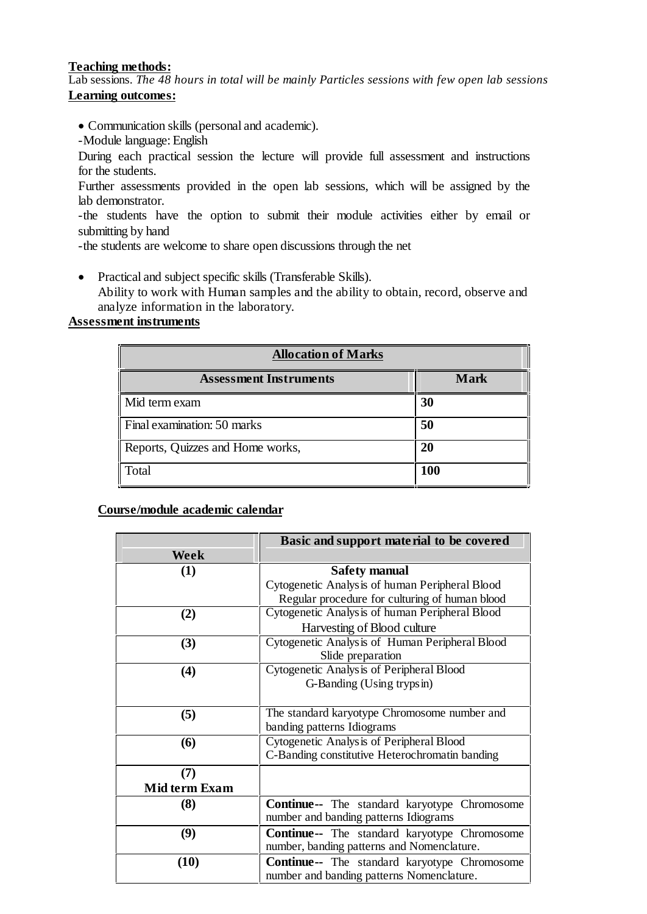### **Teaching methods:**

Lab sessions. *The 48 hours in total will be mainly Particles sessions with few open lab sessions* **Learning outcomes:**

- Communication skills (personal and academic).
- -Module language: English

During each practical session the lecture will provide full assessment and instructions for the students.

Further assessments provided in the open lab sessions, which will be assigned by the lab demonstrator.

-the students have the option to submit their module activities either by email or submitting by hand

-the students are welcome to share open discussions through the net

• Practical and subject specific skills (Transferable Skills). Ability to work with Human samples and the ability to obtain, record, observe and analyze information in the laboratory.

## **Assessment instruments**

| <b>Allocation of Marks</b>       |             |  |
|----------------------------------|-------------|--|
| <b>Assessment Instruments</b>    | <b>Mark</b> |  |
| Mid term exam                    | 30          |  |
| Final examination: 50 marks      | 50          |  |
| Reports, Quizzes and Home works, | 20          |  |
| Total                            | 100         |  |

### **Course/module academic calendar**

|               | Basic and support material to be covered             |  |  |
|---------------|------------------------------------------------------|--|--|
| Week          |                                                      |  |  |
| (1)           | <b>Safety manual</b>                                 |  |  |
|               | Cytogenetic Analysis of human Peripheral Blood       |  |  |
|               | Regular procedure for culturing of human blood       |  |  |
| (2)           | Cytogenetic Analysis of human Peripheral Blood       |  |  |
|               | Harvesting of Blood culture                          |  |  |
| (3)           | Cytogenetic Analysis of Human Peripheral Blood       |  |  |
|               | Slide preparation                                    |  |  |
| (4)           | Cytogenetic Analysis of Peripheral Blood             |  |  |
|               | G-Banding (Using trypsin)                            |  |  |
|               |                                                      |  |  |
| (5)           | The standard karyotype Chromosome number and         |  |  |
|               | banding patterns Idiograms                           |  |  |
| (6)           | Cytogenetic Analysis of Peripheral Blood             |  |  |
|               | C-Banding constitutive Heterochromatin banding       |  |  |
| (7)           |                                                      |  |  |
| Mid term Exam |                                                      |  |  |
| (8)           | <b>Continue--</b> The standard karyotype Chromosome  |  |  |
|               | number and banding patterns Idiograms                |  |  |
| (9)           | <b>Continue--</b> The standard karyotype Chromosome  |  |  |
|               | number, banding patterns and Nomenclature.           |  |  |
| (10)          | <b>Continue</b> -- The standard karyotype Chromosome |  |  |
|               | number and banding patterns Nomenclature.            |  |  |